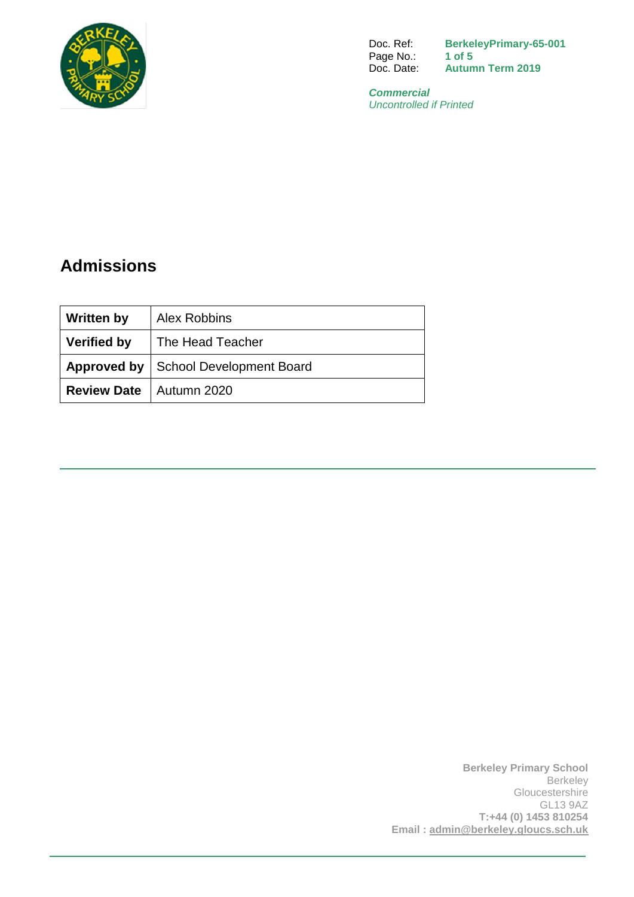

Doc. Ref: **BerkeleyPrimary-65-001**<br>Page No.: 1 of 5 Page No.:<br>Doc. Date: Autumn Term 2019

*Commercial Uncontrolled if Printed*

# **Admissions**

| <b>Written by</b>                | Alex Robbins                           |
|----------------------------------|----------------------------------------|
| <b>Verified by</b>               | The Head Teacher                       |
|                                  | Approved by   School Development Board |
| <b>Review Date</b>   Autumn 2020 |                                        |

**Berkeley Primary School Berkeley Gloucestershire** GL13 9AZ **T:+44 (0) 1453 810254 Email : [admin@berkeley.gloucs.sch.uk](mailto:admin@berkeley.gloucs.sch.uk)**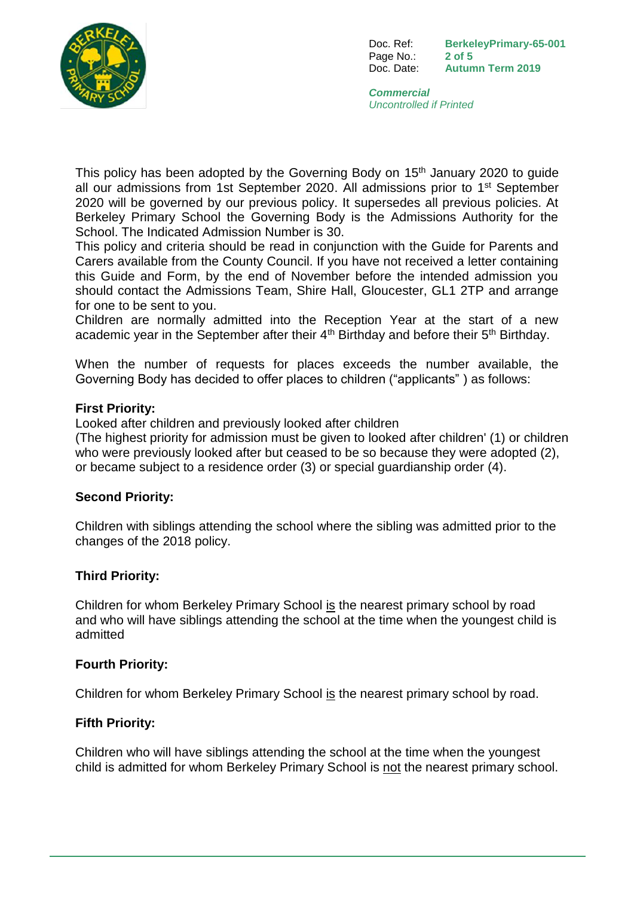

Doc. Ref: **BerkeleyPrimary-65-001** Page No.: **2 of 5** Doc. Date: **Autumn Term 2019**

*Commercial Uncontrolled if Printed*

This policy has been adopted by the Governing Body on 15<sup>th</sup> January 2020 to quide all our admissions from 1st September 2020. All admissions prior to 1st September 2020 will be governed by our previous policy. It supersedes all previous policies. At Berkeley Primary School the Governing Body is the Admissions Authority for the School. The Indicated Admission Number is 30.

This policy and criteria should be read in conjunction with the Guide for Parents and Carers available from the County Council. If you have not received a letter containing this Guide and Form, by the end of November before the intended admission you should contact the Admissions Team, Shire Hall, Gloucester, GL1 2TP and arrange for one to be sent to you.

Children are normally admitted into the Reception Year at the start of a new academic year in the September after their  $4<sup>th</sup>$  Birthday and before their  $5<sup>th</sup>$  Birthday.

When the number of requests for places exceeds the number available, the Governing Body has decided to offer places to children ("applicants" ) as follows:

#### **First Priority:**

Looked after children and previously looked after children

(The highest priority for admission must be given to looked after children' (1) or children who were previously looked after but ceased to be so because they were adopted (2), or became subject to a residence order (3) or special guardianship order (4).

## **Second Priority:**

Children with siblings attending the school where the sibling was admitted prior to the changes of the 2018 policy.

#### **Third Priority:**

Children for whom Berkeley Primary School is the nearest primary school by road and who will have siblings attending the school at the time when the youngest child is admitted

#### **Fourth Priority:**

Children for whom Berkeley Primary School is the nearest primary school by road.

#### **Fifth Priority:**

Children who will have siblings attending the school at the time when the youngest child is admitted for whom Berkeley Primary School is not the nearest primary school.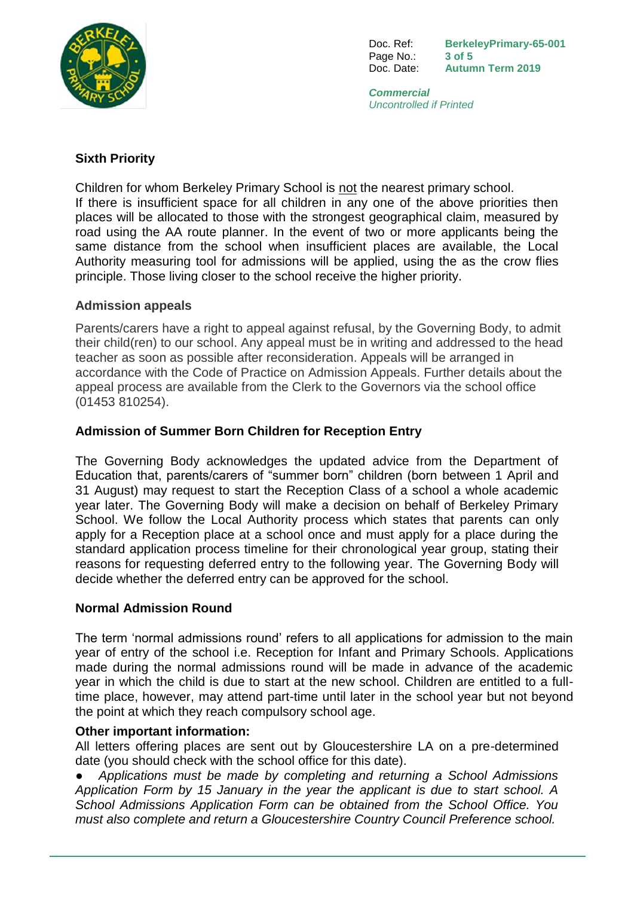

Doc. Ref: **BerkeleyPrimary-65-001** Page No.: **3 of 5** Doc. Date: **Autumn Term 2019**

*Commercial Uncontrolled if Printed*

## **Sixth Priority**

Children for whom Berkeley Primary School is not the nearest primary school. If there is insufficient space for all children in any one of the above priorities then places will be allocated to those with the strongest geographical claim, measured by road using the AA route planner. In the event of two or more applicants being the same distance from the school when insufficient places are available, the Local Authority measuring tool for admissions will be applied, using the as the crow flies principle. Those living closer to the school receive the higher priority.

#### **Admission appeals**

Parents/carers have a right to appeal against refusal, by the Governing Body, to admit their child(ren) to our school. Any appeal must be in writing and addressed to the head teacher as soon as possible after reconsideration. Appeals will be arranged in accordance with the Code of Practice on Admission Appeals. Further details about the appeal process are available from the Clerk to the Governors via the school office (01453 810254).

## **Admission of Summer Born Children for Reception Entry**

The Governing Body acknowledges the updated advice from the Department of Education that, parents/carers of "summer born" children (born between 1 April and 31 August) may request to start the Reception Class of a school a whole academic year later. The Governing Body will make a decision on behalf of Berkeley Primary School. We follow the Local Authority process which states that parents can only apply for a Reception place at a school once and must apply for a place during the standard application process timeline for their chronological year group, stating their reasons for requesting deferred entry to the following year. The Governing Body will decide whether the deferred entry can be approved for the school.

## **Normal Admission Round**

The term 'normal admissions round' refers to all applications for admission to the main year of entry of the school i.e. Reception for Infant and Primary Schools. Applications made during the normal admissions round will be made in advance of the academic year in which the child is due to start at the new school. Children are entitled to a fulltime place, however, may attend part-time until later in the school year but not beyond the point at which they reach compulsory school age.

## **Other important information:**

All letters offering places are sent out by Gloucestershire LA on a pre-determined date (you should check with the school office for this date).

● *Applications must be made by completing and returning a School Admissions Application Form by 15 January in the year the applicant is due to start school. A School Admissions Application Form can be obtained from the School Office. You must also complete and return a Gloucestershire Country Council Preference school.*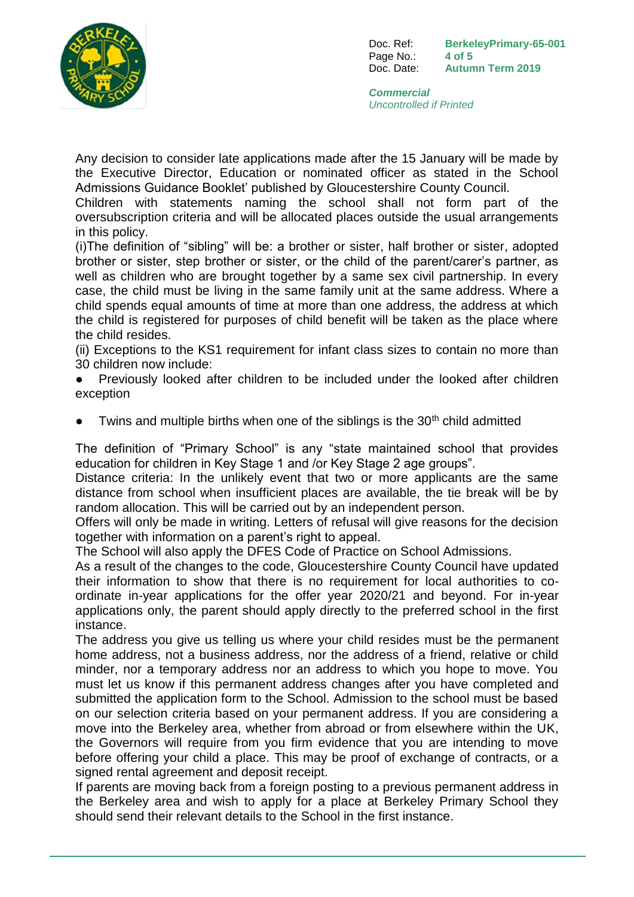

Doc. Ref: **BerkeleyPrimary-65-001** Page No.: **4 of 5** Doc. Date: **Autumn Term 2019**

*Commercial Uncontrolled if Printed*

Any decision to consider late applications made after the 15 January will be made by the Executive Director, Education or nominated officer as stated in the School Admissions Guidance Booklet' published by Gloucestershire County Council.

Children with statements naming the school shall not form part of the oversubscription criteria and will be allocated places outside the usual arrangements in this policy.

(i)The definition of "sibling" will be: a brother or sister, half brother or sister, adopted brother or sister, step brother or sister, or the child of the parent/carer's partner, as well as children who are brought together by a same sex civil partnership. In every case, the child must be living in the same family unit at the same address. Where a child spends equal amounts of time at more than one address, the address at which the child is registered for purposes of child benefit will be taken as the place where the child resides.

(ii) Exceptions to the KS1 requirement for infant class sizes to contain no more than 30 children now include:

- Previously looked after children to be included under the looked after children exception
- Twins and multiple births when one of the siblings is the 30<sup>th</sup> child admitted

The definition of "Primary School" is any "state maintained school that provides education for children in Key Stage 1 and /or Key Stage 2 age groups".

Distance criteria: In the unlikely event that two or more applicants are the same distance from school when insufficient places are available, the tie break will be by random allocation. This will be carried out by an independent person.

Offers will only be made in writing. Letters of refusal will give reasons for the decision together with information on a parent's right to appeal.

The School will also apply the DFES Code of Practice on School Admissions.

As a result of the changes to the code, Gloucestershire County Council have updated their information to show that there is no requirement for local authorities to coordinate in-year applications for the offer year 2020/21 and beyond. For in-year applications only, the parent should apply directly to the preferred school in the first instance.

The address you give us telling us where your child resides must be the permanent home address, not a business address, nor the address of a friend, relative or child minder, nor a temporary address nor an address to which you hope to move. You must let us know if this permanent address changes after you have completed and submitted the application form to the School. Admission to the school must be based on our selection criteria based on your permanent address. If you are considering a move into the Berkeley area, whether from abroad or from elsewhere within the UK, the Governors will require from you firm evidence that you are intending to move before offering your child a place. This may be proof of exchange of contracts, or a signed rental agreement and deposit receipt.

If parents are moving back from a foreign posting to a previous permanent address in the Berkeley area and wish to apply for a place at Berkeley Primary School they should send their relevant details to the School in the first instance.